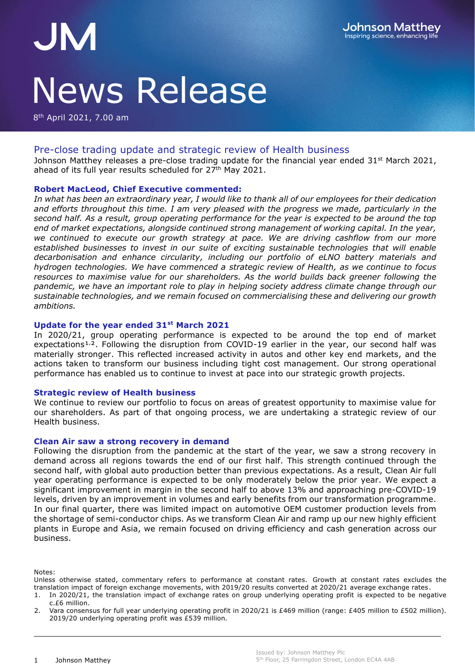# JM News Release

8<sup>th</sup> April 2021, 7.00 am

# Pre-close trading update and strategic review of Health business

Johnson Matthey releases a pre-close trading update for the financial year ended 31<sup>st</sup> March 2021, ahead of its full year results scheduled for 27<sup>th</sup> May 2021.

# **Robert MacLeod, Chief Executive commented:**

*In what has been an extraordinary year, I would like to thank all of our employees for their dedication and efforts throughout this time. I am very pleased with the progress we made, particularly in the second half. As a result, group operating performance for the year is expected to be around the top end of market expectations, alongside continued strong management of working capital. In the year, we continued to execute our growth strategy at pace. We are driving cashflow from our more established businesses to invest in our suite of exciting sustainable technologies that will enable decarbonisation and enhance circularity, including our portfolio of eLNO battery materials and hydrogen technologies. We have commenced a strategic review of Health, as we continue to focus resources to maximise value for our shareholders. As the world builds back greener following the pandemic, we have an important role to play in helping society address climate change through our sustainable technologies, and we remain focused on commercialising these and delivering our growth ambitions.*

#### **Update for the year ended 31st March 2021**

In 2020/21, group operating performance is expected to be around the top end of market expectations<sup>1,2</sup>. Following the disruption from COVID-19 earlier in the year, our second half was materially stronger. This reflected increased activity in autos and other key end markets, and the actions taken to transform our business including tight cost management. Our strong operational performance has enabled us to continue to invest at pace into our strategic growth projects.

#### **Strategic review of Health business**

We continue to review our portfolio to focus on areas of greatest opportunity to maximise value for our shareholders. As part of that ongoing process, we are undertaking a strategic review of our Health business.

#### **Clean Air saw a strong recovery in demand**

Following the disruption from the pandemic at the start of the year, we saw a strong recovery in demand across all regions towards the end of our first half. This strength continued through the second half, with global auto production better than previous expectations. As a result, Clean Air full year operating performance is expected to be only moderately below the prior year. We expect a significant improvement in margin in the second half to above 13% and approaching pre-COVID-19 levels, driven by an improvement in volumes and early benefits from our transformation programme. In our final quarter, there was limited impact on automotive OEM customer production levels from the shortage of semi-conductor chips. As we transform Clean Air and ramp up our new highly efficient plants in Europe and Asia, we remain focused on driving efficiency and cash generation across our business.

Notes:

Unless otherwise stated, commentary refers to performance at constant rates. Growth at constant rates excludes the translation impact of foreign exchange movements, with 2019/20 results converted at 2020/21 average exchange rates.

1. In 2020/21, the translation impact of exchange rates on group underlying operating profit is expected to be negative c.£6 million.

2. Vara consensus for full year underlying operating profit in 2020/21 is £469 million (range: £405 million to £502 million). 2019/20 underlying operating profit was £539 million.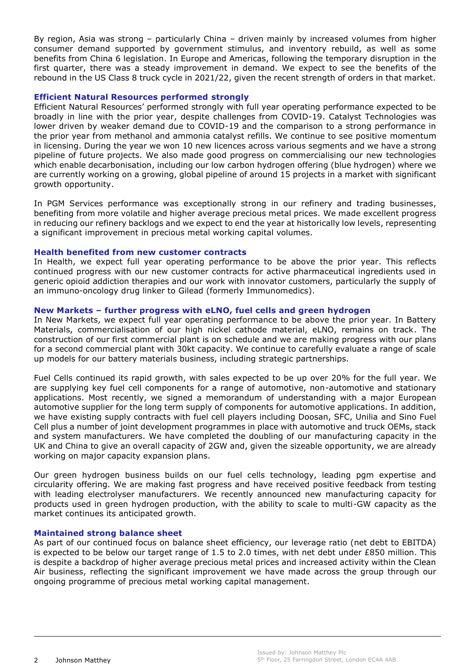By region, Asia was strong – particularly China – driven mainly by increased volumes from higher consumer demand supported by government stimulus, and inventory rebuild, as well as some benefits from China 6 legislation. In Europe and Americas, following the temporary disruption in the first quarter, there was a steady improvement in demand. We expect to see the benefits of the rebound in the US Class 8 truck cycle in 2021/22, given the recent strength of orders in that market.

# **Efficient Natural Resources performed strongly**

Efficient Natural Resources' performed strongly with full year operating performance expected to be broadly in line with the prior year, despite challenges from COVID-19. Catalyst Technologies was lower driven by weaker demand due to COVID-19 and the comparison to a strong performance in the prior year from methanol and ammonia catalyst refills. We continue to see positive momentum in licensing. During the year we won 10 new licences across various segments and we have a strong pipeline of future projects. We also made good progress on commercialising our new technologies which enable decarbonisation, including our low carbon hydrogen offering (blue hydrogen) where we are currently working on a growing, global pipeline of around 15 projects in a market with significant growth opportunity.

In PGM Services performance was exceptionally strong in our refinery and trading businesses, benefiting from more volatile and higher average precious metal prices. We made excellent progress in reducing our refinery backlogs and we expect to end the year at historically low levels, representing a significant improvement in precious metal working capital volumes.

#### **Health benefited from new customer contracts**

In Health, we expect full year operating performance to be above the prior year. This reflects continued progress with our new customer contracts for active pharmaceutical ingredients used in generic opioid addiction therapies and our work with innovator customers, particularly the supply of an immuno-oncology drug linker to Gilead (formerly Immunomedics).

# **New Markets – further progress with eLNO, fuel cells and green hydrogen**

In New Markets, we expect full year operating performance to be above the prior year. In Battery Materials, commercialisation of our high nickel cathode material, eLNO, remains on track. The construction of our first commercial plant is on schedule and we are making progress with our plans for a second commercial plant with 30kt capacity. We continue to carefully evaluate a range of scale up models for our battery materials business, including strategic partnerships.

Fuel Cells continued its rapid growth, with sales expected to be up over 20% for the full year. We are supplying key fuel cell components for a range of automotive, non-automotive and stationary applications. Most recently, we signed a memorandum of understanding with a major European automotive supplier for the long term supply of components for automotive applications. In addition, we have existing supply contracts with fuel cell players including Doosan, SFC, Unilia and Sino Fuel Cell plus a number of joint development programmes in place with automotive and truck OEMs, stack and system manufacturers. We have completed the doubling of our manufacturing capacity in the UK and China to give an overall capacity of 2GW and, given the sizeable opportunity, we are already working on major capacity expansion plans.

Our green hydrogen business builds on our fuel cells technology, leading pgm expertise and circularity offering. We are making fast progress and have received positive feedback from testing with leading electrolyser manufacturers. We recently announced new manufacturing capacity for products used in green hydrogen production, with the ability to scale to multi-GW capacity as the market continues its anticipated growth.

# **Maintained strong balance sheet**

As part of our continued focus on balance sheet efficiency, our leverage ratio (net debt to EBITDA) is expected to be below our target range of 1.5 to 2.0 times, with net debt under £850 million. This is despite a backdrop of higher average precious metal prices and increased activity within the Clean Air business, reflecting the significant improvement we have made across the group through our ongoing programme of precious metal working capital management.